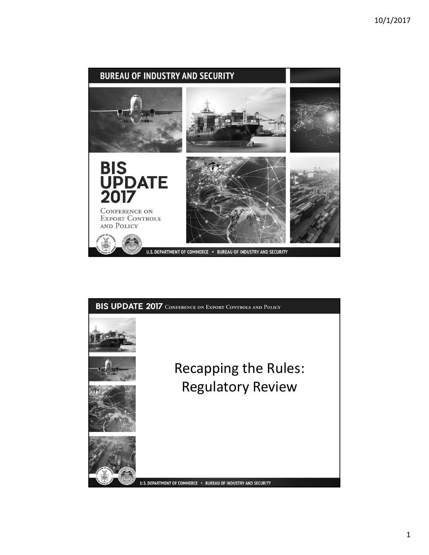

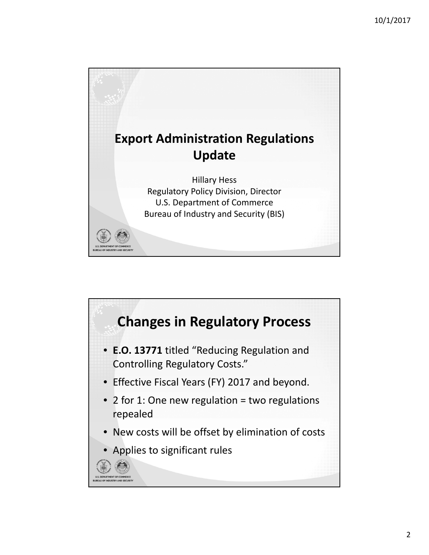

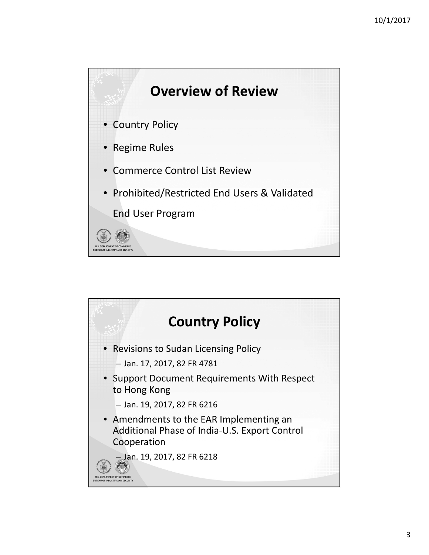

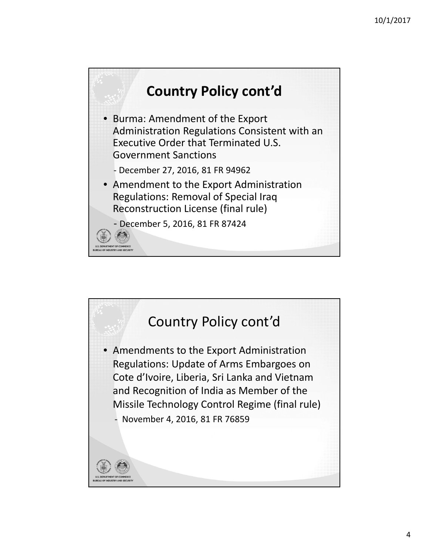

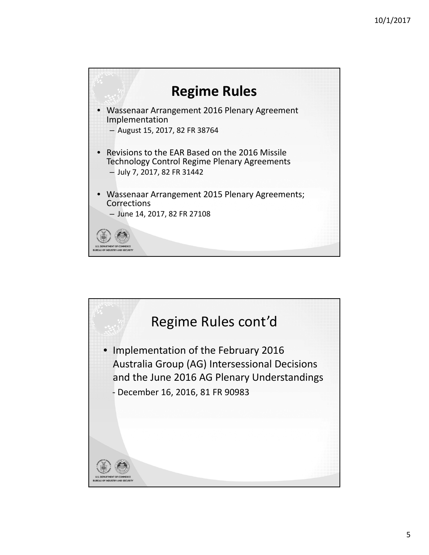

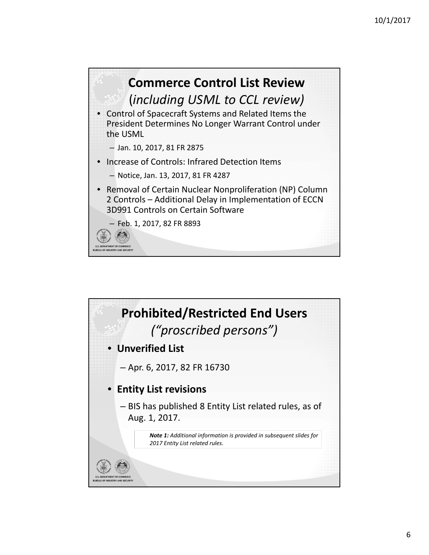

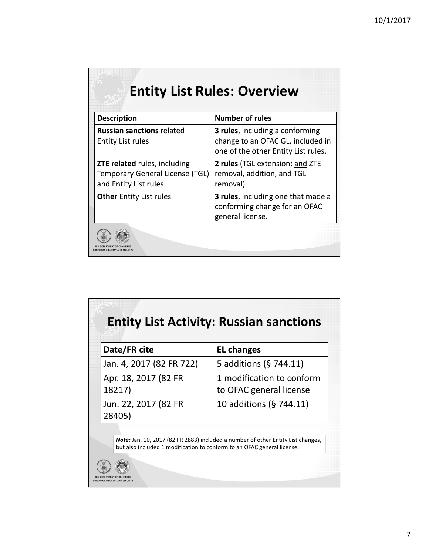| <b>Description</b>                                                                              | <b>Number of rules</b>                                                                                              |
|-------------------------------------------------------------------------------------------------|---------------------------------------------------------------------------------------------------------------------|
| <b>Russian sanctions related</b><br><b>Entity List rules</b>                                    | <b>3 rules</b> , including a conforming<br>change to an OFAC GL, included in<br>one of the other Entity List rules. |
| <b>ZTE related rules, including</b><br>Temporary General License (TGL)<br>and Entity List rules | 2 rules (TGL extension; and ZTE<br>removal, addition, and TGL<br>removal)                                           |
| <b>Other</b> Entity List rules                                                                  | 3 rules, including one that made a<br>conforming change for an OFAC<br>general license.                             |

| Date/FR cite                   | <b>EL changes</b>                                    |
|--------------------------------|------------------------------------------------------|
| Jan. 4, 2017 (82 FR 722)       | 5 additions (§ 744.11)                               |
| Apr. 18, 2017 (82 FR<br>18217) | 1 modification to conform<br>to OFAC general license |
| Jun. 22, 2017 (82 FR<br>28405) | 10 additions (§ 744.11)                              |

O MENT OF COMM<br>DUSTRY AND SE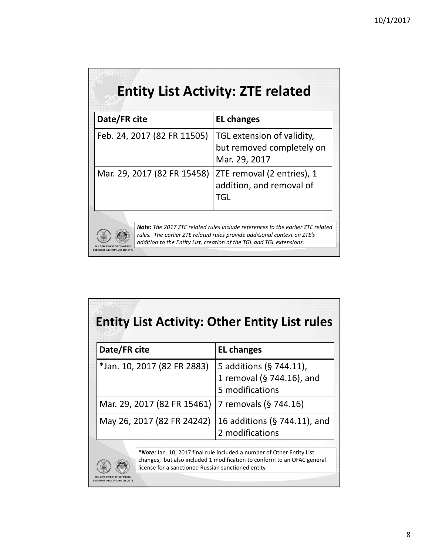| <b>Entity List Activity: ZTE related</b> |                                                                                                                                                                                                                                           |  |
|------------------------------------------|-------------------------------------------------------------------------------------------------------------------------------------------------------------------------------------------------------------------------------------------|--|
| Date/FR cite                             | <b>EL changes</b>                                                                                                                                                                                                                         |  |
| Feb. 24, 2017 (82 FR 11505)              | TGL extension of validity,<br>but removed completely on<br>Mar. 29, 2017                                                                                                                                                                  |  |
| Mar. 29, 2017 (82 FR 15458)              | ZTE removal (2 entries), 1<br>addition, and removal of<br><b>TGL</b>                                                                                                                                                                      |  |
|                                          | <b>Note:</b> The 2017 ZTE related rules include references to the earlier ZTE related<br>rules. The earlier ZTE related rules provide additional context on ZTE's<br>addition to the Entity List, creation of the TGL and TGL extensions. |  |

| Date/FR cite                | <b>EL changes</b>                                                       |
|-----------------------------|-------------------------------------------------------------------------|
| *Jan. 10, 2017 (82 FR 2883) | 5 additions (§ 744.11),<br>1 removal (§ 744.16), and<br>5 modifications |
| Mar. 29, 2017 (82 FR 15461) | 7 removals (§ 744.16)                                                   |
| May 26, 2017 (82 FR 24242)  | 16 additions (§ 744.11), and<br>2 modifications                         |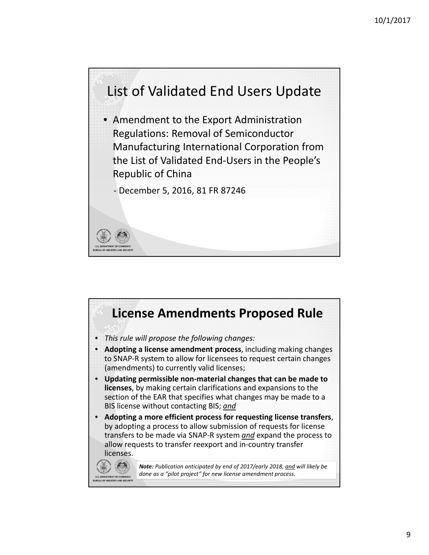

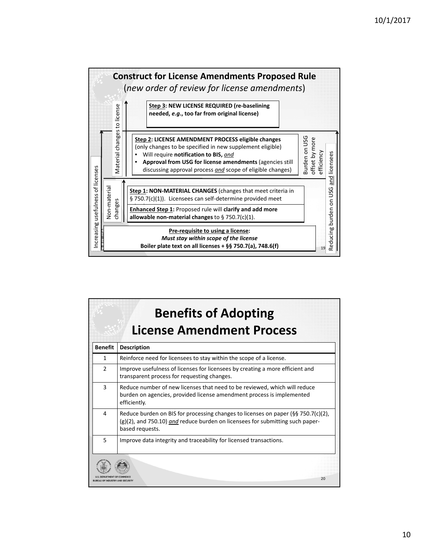

| <b>Benefits of Adopting</b><br><b>License Amendment Process</b> |                                                                                                                                                                                            |  |
|-----------------------------------------------------------------|--------------------------------------------------------------------------------------------------------------------------------------------------------------------------------------------|--|
| <b>Benefit</b>                                                  | <b>Description</b>                                                                                                                                                                         |  |
| 1                                                               | Reinforce need for licensees to stay within the scope of a license.                                                                                                                        |  |
| $\mathfrak{p}$                                                  | Improve usefulness of licenses for licensees by creating a more efficient and<br>transparent process for requesting changes.                                                               |  |
| 3                                                               | Reduce number of new licenses that need to be reviewed, which will reduce<br>burden on agencies, provided license amendment process is implemented<br>efficiently.                         |  |
| 4                                                               | Reduce burden on BIS for processing changes to licenses on paper ( $\S$ § 750.7(c)(2),<br>(g)(2), and 750.10) and reduce burden on licensees for submitting such paper-<br>based requests. |  |
| 5                                                               | Improve data integrity and traceability for licensed transactions.                                                                                                                         |  |
|                                                                 | 20                                                                                                                                                                                         |  |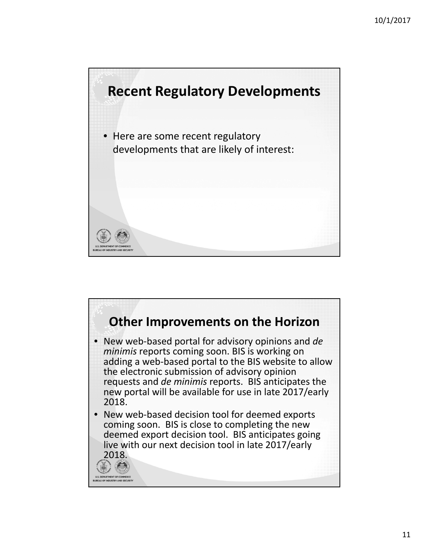